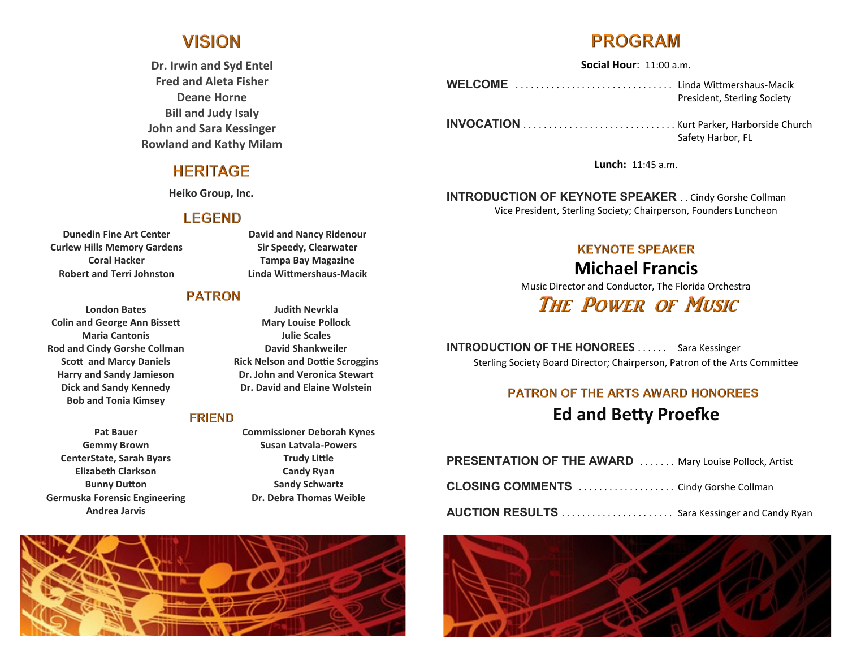## **VISION**

**Dr. Irwin and Syd Entel Fred and Aleta Fisher Deane Horne Bill and Judy Isaly John and Sara Kessinger Rowland and Kathy Milam** 

#### **HERITAGE**

**Heiko Group, Inc.**

#### **LEGEND**

**Dunedin Fine Art Center Curlew Hills Memory Gardens Coral Hacker Robert and Terri Johnston**

**London Bates Colin and George Ann Bissett Maria Cantonis Rod and Cindy Gorshe Collman Scott and Marcy Daniels Harry and Sandy Jamieson Dick and Sandy Kennedy Bob and Tonia Kimsey**

**Pat Bauer Gemmy Brown CenterState, Sarah Byars Elizabeth Clarkson Bunny Dutton Germuska Forensic Engineering Andrea Jarvis**

**David and Nancy Ridenour Sir Speedy, Clearwater Tampa Bay Magazine Linda Wittmershaus-Macik**

#### **PATRON**

**Judith Nevrkla Mary Louise Pollock Julie Scales David Shankweiler Rick Nelson and Dottie Scroggins Dr. John and Veronica Stewart Dr. David and Elaine Wolstein**

#### **FRIEND**

**Commissioner Deborah Kynes Susan Latvala-Powers Trudy Little Candy Ryan Sandy Schwartz Dr. Debra Thomas Weible**



# **PROGRAM**

**Social Hour**: 11:00 a.m.

WELCOME .................................. Linda Wittmershaus-Macik President, Sterling Society

**INVOCATION** . . . . . . . . . . . . . . . . . . . . . . . . . . . . . . Kurt Parker, Harborside Church Safety Harbor, FL

**Lunch:** 11:45 a.m.

**INTRODUCTION OF KEYNOTE SPEAKER** . . Cindy Gorshe Collman Vice President, Sterling Society; Chairperson, Founders Luncheon

#### **KEYNOTE SPEAKER**

**Michael Francis** Music Director and Conductor, The Florida Orchestra

## **THE POWER OF MUSIC**

**INTRODUCTION OF THE HONOREES** . . . . . . Sara Kessinger Sterling Society Board Director; Chairperson, Patron of the Arts Committee

### **PATRON OF THE ARTS AWARD HONOREES Ed and Betty Proefke**

| <b>PRESENTATION OF THE AWARD  Mary Louise Pollock, Artist</b> |  |
|---------------------------------------------------------------|--|
|                                                               |  |
| <b>AUCTION RESULTS</b> Sara Kessinger and Candy Ryan          |  |